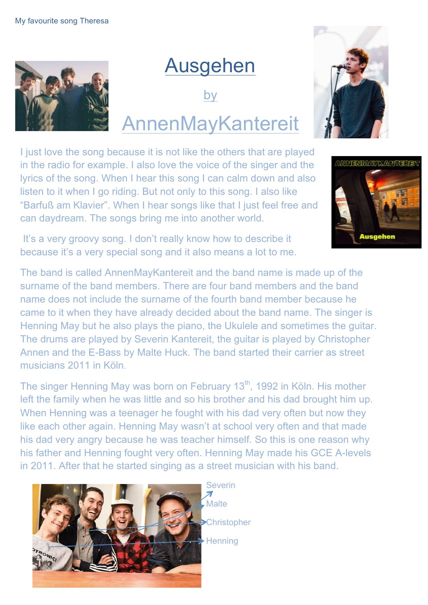

## Ausgehen

by

# AnnenMayKantereit

I just love the song because it is not like the others that are played in the radio for example. I also love the voice of the singer and the lyrics of the song. When I hear this song I can calm down and also listen to it when I go riding. But not only to this song. I also like "Barfuß am Klavier". When I hear songs like that I just feel free and can daydream. The songs bring me into another world.

It's a very groovy song. I don't really know how to describe it because it's a very special song and it also means a lot to me.

The band is called AnnenMayKantereit and the band name is made up of the surname of the band members. There are four band members and the band name does not include the surname of the fourth band member because he came to it when they have already decided about the band name. The singer is Henning May but he also plays the piano, the Ukulele and sometimes the guitar. The drums are played by Severin Kantereit, the guitar is played by Christopher Annen and the E-Bass by Malte Huck. The band started their carrier as street musicians 2011 in Köln.

The singer Henning May was born on February 13<sup>th</sup>, 1992 in Köln. His mother left the family when he was little and so his brother and his dad brought him up. When Henning was a teenager he fought with his dad very often but now they like each other again. Henning May wasn't at school very often and that made his dad very angry because he was teacher himself. So this is one reason why his father and Henning fought very often. Henning May made his GCE A-levels in 2011. After that he started singing as a street musician with his band.



Severin  $\overline{\mathbf{z}}$ Malte **>Christopher Henning** 



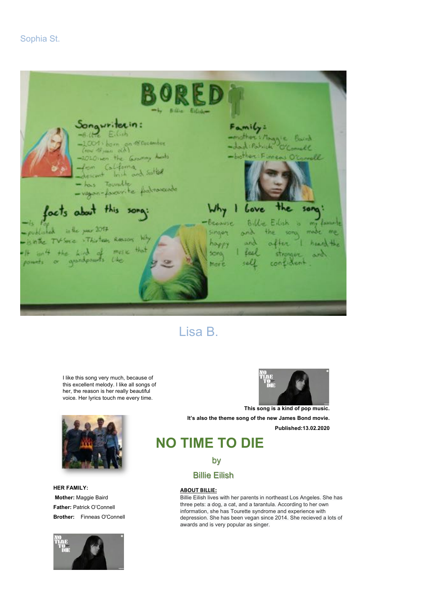#### Sophia St.



### Lisa B.

I like this song very much, because of this excellent melody. I like all songs of her, the reason is her really beautiful voice. Her lyrics touch me every time.



**HER FAMILY: Mother:** Maggie Baird **Father:** Patrick O'Connell **Brother:** Finneas O'Connell





**This song is a kind of pop music. It's also the theme song of the new James Bond movie. Published:13.02.2020**

### **NO TIME TO DIE**

#### by

#### Billie Eilish

#### **ABOUT BILLIE:**

Billie Eilish lives with her parents in northeast Los Angeles. She has three pets: a dog, a cat, and a tarantula. According to her own information, she has Tourette syndrome and experience with depression. She has been vegan since 2014. She recieved a lots of awards and is very popular as singer.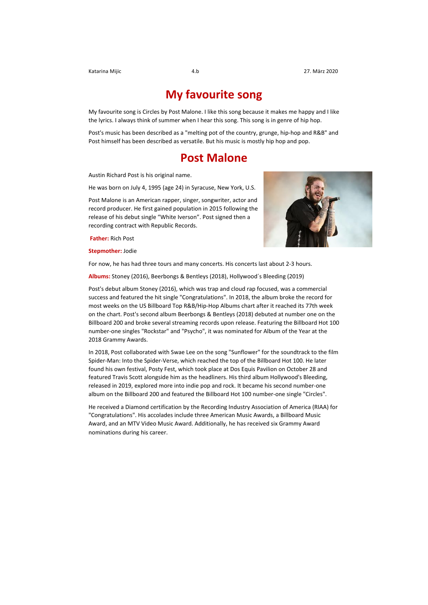#### **My favourite song**

My favourite song is Circles by Post Malone. I like this song because it makes me happy and I like the lyrics. I always think of summer when I hear this song. This song is in genre of hip hop.

Post's music has been described as a "melting pot of the country, grunge, hip-hop and R&B" and Post himself has been described as versatile. But his music is mostly hip hop and pop.

#### **Post Malone**

Austin Richard Post is his original name.

He was born on July 4, 1995 (age 24) in Syracuse, New York, U.S.

Post Malone is an American rapper, singer, songwriter, actor and record producer. He first gained population in 2015 following the release of his debut single "White Iverson". Post signed then a recording contract with Republic Records.



**Stepmother: Jodie** 



For now, he has had three tours and many concerts. His concerts last about 2-3 hours.

Albums: Stoney (2016), Beerbongs & Bentleys (2018), Hollywood's Bleeding (2019)

Post's debut album Stoney (2016), which was trap and cloud rap focused, was a commercial success and featured the hit single "Congratulations". In 2018, the album broke the record for most weeks on the US Billboard Top R&B/Hip-Hop Albums chart after it reached its 77th week on the chart. Post's second album Beerbongs & Bentleys (2018) debuted at number one on the Billboard 200 and broke several streaming records upon release. Featuring the Billboard Hot 100 number-one singles "Rockstar" and "Psycho", it was nominated for Album of the Year at the 2018 Grammy Awards.

In 2018, Post collaborated with Swae Lee on the song "Sunflower" for the soundtrack to the film Spider-Man: Into the Spider-Verse, which reached the top of the Billboard Hot 100. He later found his own festival, Posty Fest, which took place at Dos Equis Pavilion on October 28 and featured Travis Scott alongside him as the headliners. His third album Hollywood's Bleeding, released in 2019, explored more into indie pop and rock. It became his second number-one album on the Billboard 200 and featured the Billboard Hot 100 number-one single "Circles".

He received a Diamond certification by the Recording Industry Association of America (RIAA) for "Congratulations". His accolades include three American Music Awards, a Billboard Music Award, and an MTV Video Music Award, Additionally, he has received six Grammy Award nominations during his career.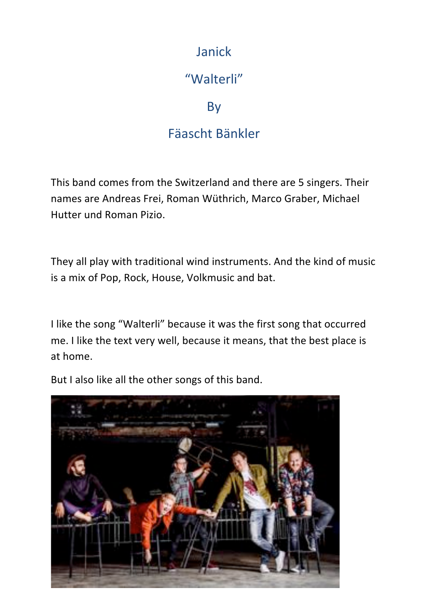### Janick

### "Walterli"

By 

### Fäascht Bänkler

This band comes from the Switzerland and there are 5 singers. Their names are Andreas Frei, Roman Wüthrich, Marco Graber, Michael Hutter und Roman Pizio.

They all play with traditional wind instruments. And the kind of music is a mix of Pop, Rock, House, Volkmusic and bat.

I like the song "Walterli" because it was the first song that occurred me. I like the text very well, because it means, that the best place is at home.

But I also like all the other songs of this band.

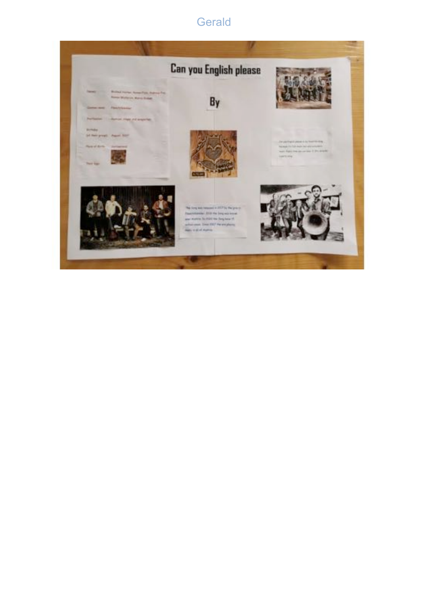### **Gerald**

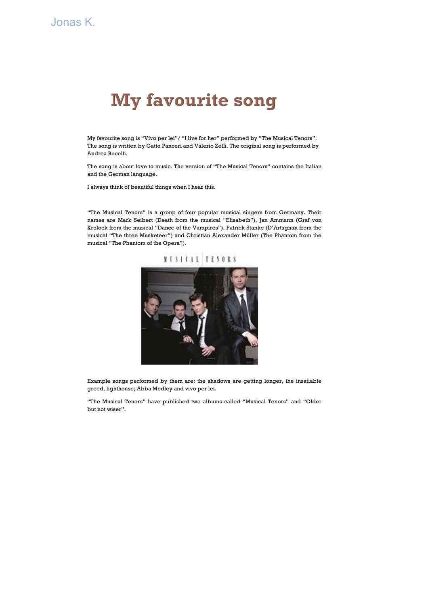### **My favourite song**

My favourite song is "Vivo per lei"/ "I live for her" performed by "The Musical Tenors". The song is written by Gatto Panceri and Valerio Zelli. The original song is performed by Andrea Bocelli.

The song is about love to music. The version of "The Musical Tenors" contains the Italian and the German language.

I always think of beautiful things when I hear this.

"The Musical Tenors" is a group of four popular musical singers from Germany. Their names are Mark Seibert (Death from the musical "Elisabeth"), Jan Ammann (Graf von Krolock from the musical "Dance of the Vampires"), Patrick Stanke (D'Artagnan from the musical "The three Musketeer") and Christian Alexander Müller (The Phantom from the musical "The Phantom of the Opera").

# **NESIGAL TESORS**



Example songs performed by them are: the shadows are getting longer, the insatiable greed, lighthouse; Abba Medley and vivo per lei.

"The Musical Tenors" have published two albums called "Musical Tenors" and "Older but not wiser".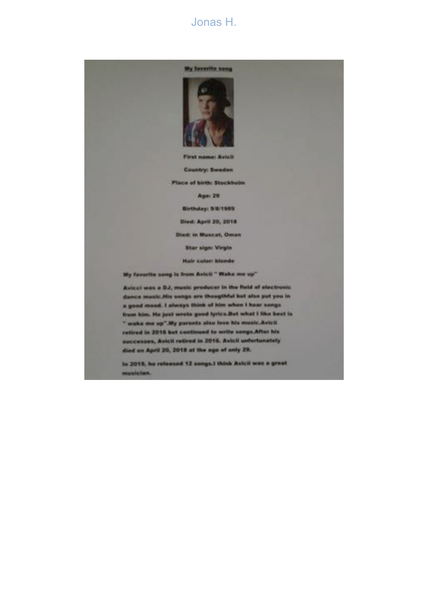#### Jonas H.



**First name: Avicit** 

**Country: Sweden** 

**Place of birth: Stockholm** 

Age: 29

Birthday: 9/8/1989

Died: April 20, 2018

**Died: in Muscat, Oman** 

**Star sign: Virgin** 

**Hair colon blonds** 

My favorite song is from Avicii " Wake me up"

Avicei was a DJ, music producer in the field of electronic dance music. His songs are thougthful but also put you in a good mood. I always think of him when I hear songs trues him. He just wrote good lyrics.But what I like best is " wake me up".My parents also love his music Avicit ratired in 2016 but continued to write sangs.After his successes, Avicil retired in 2016. Avicil unfortunately died on April 20, 2018 at the age of anly 29.

In 2019, he released 12 songs.) think Avicii was a great musician.